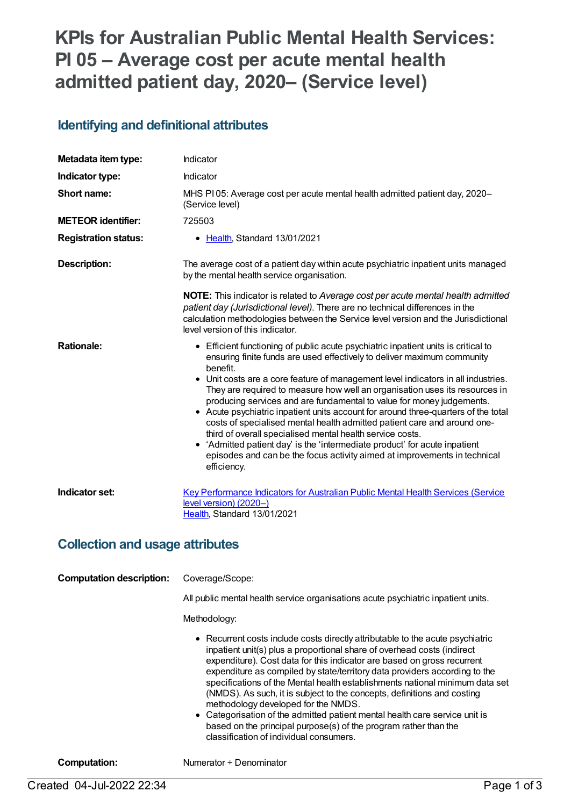# **KPIs for Australian Public Mental Health Services: PI 05 – Average cost per acute mental health admitted patient day, 2020– (Service level)**

#### **Identifying and definitional attributes**

| Metadata item type:         | Indicator                                                                                                                                                                                                                                                                                                                                                                                                                                                                                                                                                                                                                                                                                                                                                                                                                       |
|-----------------------------|---------------------------------------------------------------------------------------------------------------------------------------------------------------------------------------------------------------------------------------------------------------------------------------------------------------------------------------------------------------------------------------------------------------------------------------------------------------------------------------------------------------------------------------------------------------------------------------------------------------------------------------------------------------------------------------------------------------------------------------------------------------------------------------------------------------------------------|
| Indicator type:             | Indicator                                                                                                                                                                                                                                                                                                                                                                                                                                                                                                                                                                                                                                                                                                                                                                                                                       |
| Short name:                 | MHS PI 05: Average cost per acute mental health admitted patient day, 2020-<br>(Service level)                                                                                                                                                                                                                                                                                                                                                                                                                                                                                                                                                                                                                                                                                                                                  |
| <b>METEOR identifier:</b>   | 725503                                                                                                                                                                                                                                                                                                                                                                                                                                                                                                                                                                                                                                                                                                                                                                                                                          |
| <b>Registration status:</b> | • Health, Standard 13/01/2021                                                                                                                                                                                                                                                                                                                                                                                                                                                                                                                                                                                                                                                                                                                                                                                                   |
| Description:                | The average cost of a patient day within acute psychiatric inpatient units managed<br>by the mental health service organisation.                                                                                                                                                                                                                                                                                                                                                                                                                                                                                                                                                                                                                                                                                                |
|                             | <b>NOTE:</b> This indicator is related to Average cost per acute mental health admitted<br>patient day (Jurisdictional level). There are no technical differences in the<br>calculation methodologies between the Service level version and the Jurisdictional<br>level version of this indicator.                                                                                                                                                                                                                                                                                                                                                                                                                                                                                                                              |
| <b>Rationale:</b>           | • Efficient functioning of public acute psychiatric inpatient units is critical to<br>ensuring finite funds are used effectively to deliver maximum community<br>benefit.<br>• Unit costs are a core feature of management level indicators in all industries.<br>They are required to measure how well an organisation uses its resources in<br>producing services and are fundamental to value for money judgements.<br>• Acute psychiatric inpatient units account for around three-quarters of the total<br>costs of specialised mental health admitted patient care and around one-<br>third of overall specialised mental health service costs.<br>• 'Admitted patient day' is the 'intermediate product' for acute inpatient<br>episodes and can be the focus activity aimed at improvements in technical<br>efficiency. |
| Indicator set:              | <b>Key Performance Indicators for Australian Public Mental Health Services (Service</b><br>level version) (2020-)<br>Health, Standard 13/01/2021                                                                                                                                                                                                                                                                                                                                                                                                                                                                                                                                                                                                                                                                                |

#### **Collection and usage attributes**

| <b>Computation description:</b> | Coverage/Scope:<br>All public mental health service organisations acute psychiatric inpatient units.<br>Methodology:                                                                                                                                                                                                                                                                                                                                                                                                                                                                                                                                                                                               |
|---------------------------------|--------------------------------------------------------------------------------------------------------------------------------------------------------------------------------------------------------------------------------------------------------------------------------------------------------------------------------------------------------------------------------------------------------------------------------------------------------------------------------------------------------------------------------------------------------------------------------------------------------------------------------------------------------------------------------------------------------------------|
|                                 | • Recurrent costs include costs directly attributable to the acute psychiatric<br>inpatient unit(s) plus a proportional share of overhead costs (indirect<br>expenditure). Cost data for this indicator are based on gross recurrent<br>expenditure as compiled by state/territory data providers according to the<br>specifications of the Mental health establishments national minimum data set<br>(NMDS). As such, it is subject to the concepts, definitions and costing<br>methodology developed for the NMDS.<br>• Categorisation of the admitted patient mental health care service unit is<br>based on the principal purpose(s) of the program rather than the<br>classification of individual consumers. |

**Computation:** Numerator ÷ Denominator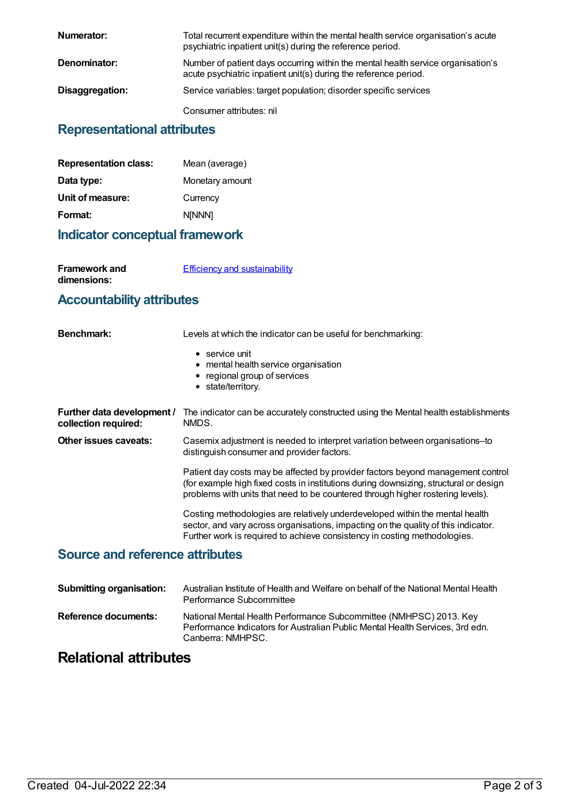| Numerator:      | Total recurrent expenditure within the mental health service organisation's acute<br>psychiatric inpatient unit(s) during the reference period.      |
|-----------------|------------------------------------------------------------------------------------------------------------------------------------------------------|
| Denominator:    | Number of patient days occurring within the mental health service organisation's<br>acute psychiatric inpatient unit(s) during the reference period. |
| Disaggregation: | Service variables: target population; disorder specific services                                                                                     |
|                 | Consumer attributes: nil                                                                                                                             |

#### **Representational attributes**

| Mean (average)  |
|-----------------|
| Monetary amount |
| Currency        |
| <b>N[NNN]</b>   |
|                 |

#### **Indicator conceptual framework**

**Framework and dimensions:**

**Efficiency and [sustainability](https://meteor.aihw.gov.au/content/721208)** 

## **Accountability attributes**

| Benchmark:                                         | Levels at which the indicator can be useful for benchmarking:                                                                                                                                                                                               |
|----------------------------------------------------|-------------------------------------------------------------------------------------------------------------------------------------------------------------------------------------------------------------------------------------------------------------|
|                                                    | $\bullet$ service unit<br>• mental health service organisation<br>• regional group of services<br>• state/territory.                                                                                                                                        |
| Further data development /<br>collection required: | The indicator can be accurately constructed using the Mental health establishments<br>NMDS.                                                                                                                                                                 |
| Other issues caveats:                              | Casemix adjustment is needed to interpret variation between organisations-to<br>distinguish consumer and provider factors.                                                                                                                                  |
|                                                    | Patient day costs may be affected by provider factors beyond management control<br>(for example high fixed costs in institutions during downsizing, structural or design<br>problems with units that need to be countered through higher rostering levels). |
|                                                    | Costing methodologies are relatively underdeveloped within the mental health<br>sector, and vary across organisations, impacting on the quality of this indicator.<br>Further work is required to achieve consistency in costing methodologies.             |

## **Source and reference attributes**

| <b>Submitting organisation:</b> | Australian Institute of Health and Welfare on behalf of the National Mental Health<br>Performance Subcommittee                                                           |
|---------------------------------|--------------------------------------------------------------------------------------------------------------------------------------------------------------------------|
| Reference documents:            | National Mental Health Performance Subcommittee (NMHPSC) 2013. Key<br>Performance Indicators for Australian Public Mental Health Services, 3rd edn.<br>Canberra: NMHPSC. |

## **Relational attributes**